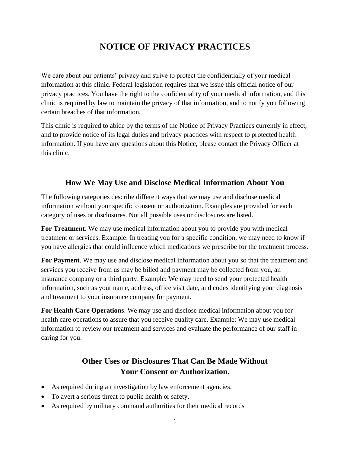# **NOTICE OF PRIVACY PRACTICES**

We care about our patients' privacy and strive to protect the confidentially of your medical information at this clinic. Federal legislation requires that we issue this official notice of our privacy practices. You have the right to the confidentiality of your medical information, and this clinic is required by law to maintain the privacy of that information, and to notify you following certain breaches of that information.

This clinic is required to abide by the terms of the Notice of Privacy Practices currently in effect, and to provide notice of its legal duties and privacy practices with respect to protected health information. If you have any questions about this Notice, please contact the Privacy Officer at this clinic.

#### **How We May Use and Disclose Medical Information About You**

The following categories describe different ways that we may use and disclose medical information without your specific consent or authorization. Examples are provided for each category of uses or disclosures. Not all possible uses or disclosures are listed.

**For Treatment**. We may use medical information about you to provide you with medical treatment or services. Example: In treating you for a specific condition, we may need to know if you have allergies that could influence which medications we prescribe for the treatment process.

**For Payment**. We may use and disclose medical information about you so that the treatment and services you receive from us may be billed and payment may be collected from you, an insurance company or a third party. Example: We may need to send your protected health information, such as your name, address, office visit date, and codes identifying your diagnosis and treatment to your insurance company for payment.

**For Health Care Operations**. We may use and disclose medical information about you for health care operations to assure that you receive quality care. Example: We may use medical information to review our treatment and services and evaluate the performance of our staff in caring for you.

# **Other Uses or Disclosures That Can Be Made Without Your Consent or Authorization.**

- As required during an investigation by law enforcement agencies.
- To avert a serious threat to public health or safety.
- As required by military command authorities for their medical records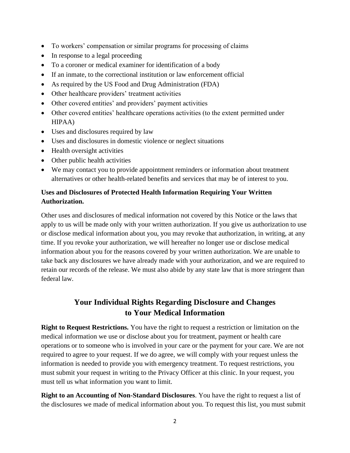- To workers' compensation or similar programs for processing of claims
- In response to a legal proceeding
- To a coroner or medical examiner for identification of a body
- If an inmate, to the correctional institution or law enforcement official
- As required by the US Food and Drug Administration (FDA)
- Other healthcare providers' treatment activities
- Other covered entities' and providers' payment activities
- Other covered entities' healthcare operations activities (to the extent permitted under HIPAA)
- Uses and disclosures required by law
- Uses and disclosures in domestic violence or neglect situations
- Health oversight activities
- Other public health activities
- We may contact you to provide appointment reminders or information about treatment alternatives or other health-related benefits and services that may be of interest to you.

#### **Uses and Disclosures of Protected Health Information Requiring Your Written Authorization.**

Other uses and disclosures of medical information not covered by this Notice or the laws that apply to us will be made only with your written authorization. If you give us authorization to use or disclose medical information about you, you may revoke that authorization, in writing, at any time. If you revoke your authorization, we will hereafter no longer use or disclose medical information about you for the reasons covered by your written authorization. We are unable to take back any disclosures we have already made with your authorization, and we are required to retain our records of the release. We must also abide by any state law that is more stringent than federal law.

### **Your Individual Rights Regarding Disclosure and Changes to Your Medical Information**

**Right to Request Restrictions.** You have the right to request a restriction or limitation on the medical information we use or disclose about you for treatment, payment or health care operations or to someone who is involved in your care or the payment for your care. We are not required to agree to your request. If we do agree, we will comply with your request unless the information is needed to provide you with emergency treatment. To request restrictions, you must submit your request in writing to the Privacy Officer at this clinic. In your request, you must tell us what information you want to limit.

**Right to an Accounting of Non-Standard Disclosures**. You have the right to request a list of the disclosures we made of medical information about you. To request this list, you must submit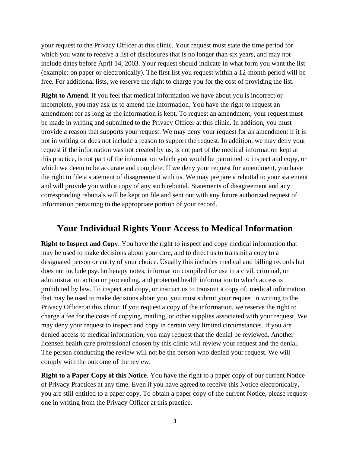your request to the Privacy Officer at this clinic. Your request must state the time period for which you want to receive a list of disclosures that is no longer than six years, and may not include dates before April 14, 2003. Your request should indicate in what form you want the list (example: on paper or electronically). The first list you request within a 12-month period will be free. For additional lists, we reserve the right to charge you for the cost of providing the list.

**Right to Amend**. If you feel that medical information we have about you is incorrect or incomplete, you may ask us to amend the information. You have the right to request an amendment for as long as the information is kept. To request an amendment, your request must be made in writing and submitted to the Privacy Officer at this clinic. In addition, you must provide a reason that supports your request. We may deny your request for an amendment if it is not in writing or does not include a reason to support the request. In addition, we may deny your request if the information was not created by us, is not part of the medical information kept at this practice, is not part of the information which you would be permitted to inspect and copy, or which we deem to be accurate and complete. If we deny your request for amendment, you have the right to file a statement of disagreement with us. We may prepare a rebuttal to your statement and will provide you with a copy of any such rebuttal. Statements of disagreement and any corresponding rebuttals will be kept on file and sent out with any future authorized request of information pertaining to the appropriate portion of your record.

### **Your Individual Rights Your Access to Medical Information**

**Right to Inspect and Copy**. You have the right to inspect and copy medical information that may be used to make decisions about your care, and to direct us to transmit a copy to a designated person or entity of your choice. Usually this includes medical and billing records but does not include psychotherapy notes, information compiled for use in a civil, criminal, or administration action or proceeding, and protected health information to which access is prohibited by law. To inspect and copy, or instruct us to transmit a copy of, medical information that may be used to make decisions about you, you must submit your request in writing to the Privacy Officer at this clinic. If you request a copy of the information, we reserve the right to charge a fee for the costs of copying, mailing, or other supplies associated with your request. We may deny your request to inspect and copy in certain very limited circumstances. If you are denied access to medical information, you may request that the denial be reviewed. Another licensed health care professional chosen by this clinic will review your request and the denial. The person conducting the review will not be the person who denied your request. We will comply with the outcome of the review.

**Right to a Paper Copy of this Notice**. You have the right to a paper copy of our current Notice of Privacy Practices at any time. Even if you have agreed to receive this Notice electronically, you are still entitled to a paper copy. To obtain a paper copy of the current Notice, please request one in writing from the Privacy Officer at this practice.